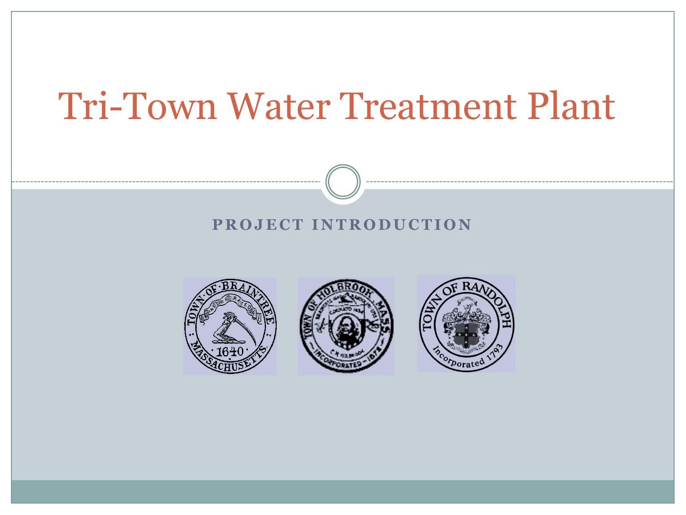## Tri-Town Water Treatment Plant

#### **PROJECT INTRODUCTION**





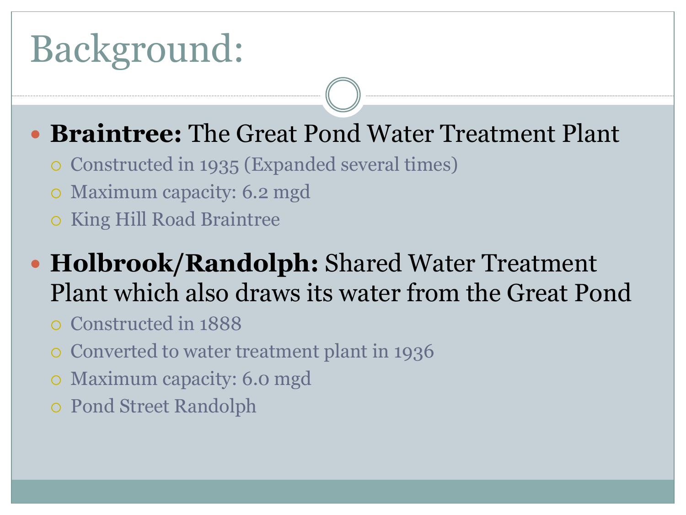# Background:

## **Braintree:** The Great Pond Water Treatment Plant

- Constructed in 1935 (Expanded several times)
- Maximum capacity: 6.2 mgd
- o King Hill Road Braintree

## **Holbrook/Randolph:** Shared Water Treatment Plant which also draws its water from the Great Pond

- Constructed in 1888
- Converted to water treatment plant in 1936
- Maximum capacity: 6.0 mgd
- Pond Street Randolph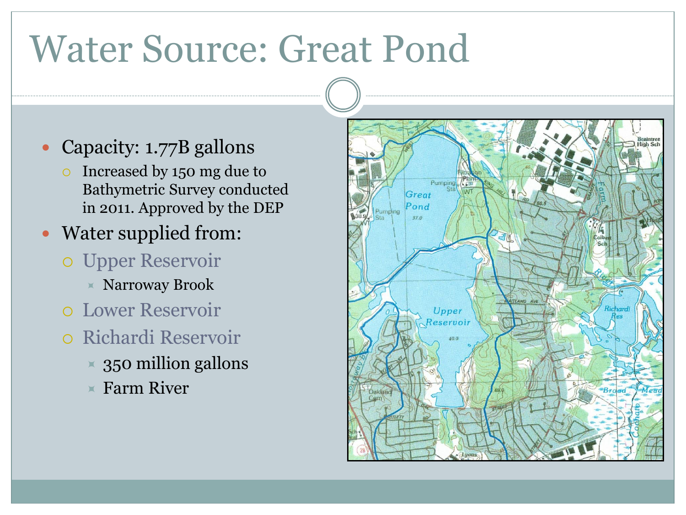# Water Source: Great Pond

- Capacity: 1.77B gallons
	- Increased by 150 mg due to Bathymetric Survey conducted in 2011. Approved by the DEP
- Water supplied from:
	- Upper Reservoir
		- $\times$  Narroway Brook
	- Lower Reservoir
	- Richardi Reservoir
		- $\times$  350 million gallons
		- $\times$  Farm River

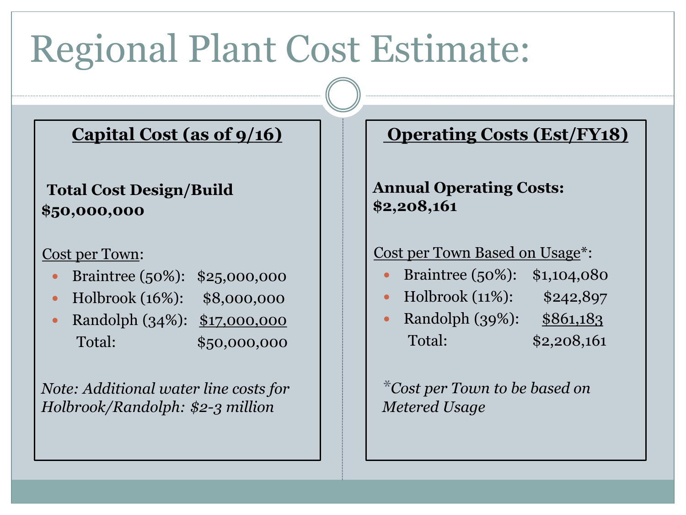# Regional Plant Cost Estimate:

### **Capital Cost (as of 9/16)**

#### **Total Cost Design/Build \$50,000,000**

#### Cost per Town:

- Braintree (50%): \$25,000,000
- Holbrook (16%): \$8,000,000
- Randolph (34%): \$17,000,000 Total: \$50,000,000

*Note: Additional water line costs for Holbrook/Randolph: \$2-3 million*

### **Operating Costs (Est/FY18)**

**Annual Operating Costs: \$2,208,161**

#### Cost per Town Based on Usage\*:

- Braintree (50%): \$1,104,080
- Holbrook (11%): \$242,897
- Randolph (39%): \$861,183 Total: \$2,208,161

*\*Cost per Town to be based on Metered Usage*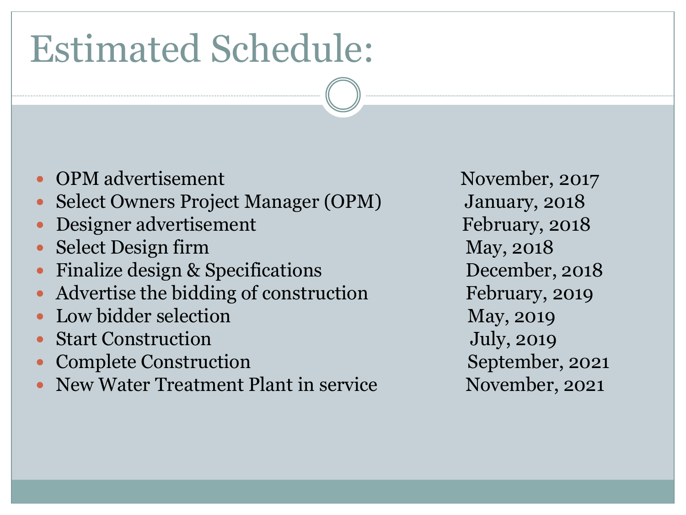# Estimated Schedule:

- OPM advertisement November, 2017
- Select Owners Project Manager (OPM) January, 2018
- Designer advertisement February, 2018
- Select Design firm May, 2018
- Finalize design & Specifications December, 2018
- Advertise the bidding of construction February, 2019
- Low bidder selection May, 2019
- Start Construction and Tuly, 2019
- Complete Construction September, 2021
- New Water Treatment Plant in service November, 2021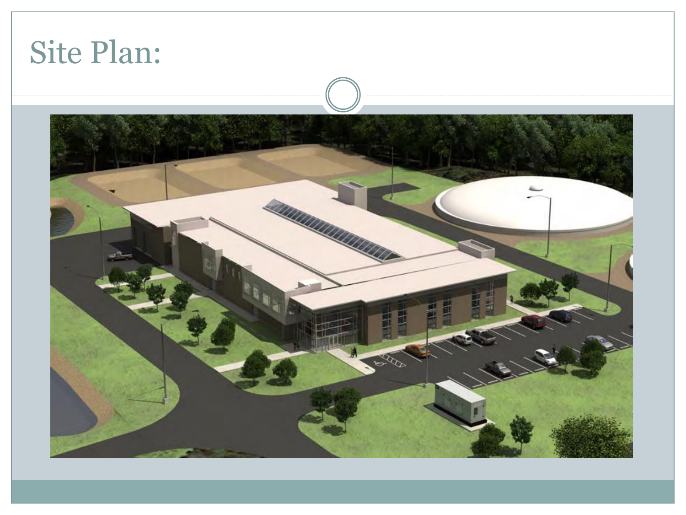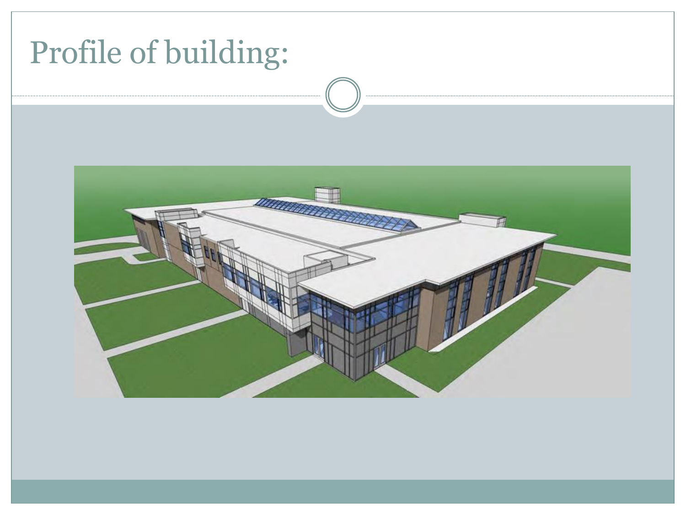## Profile of building:

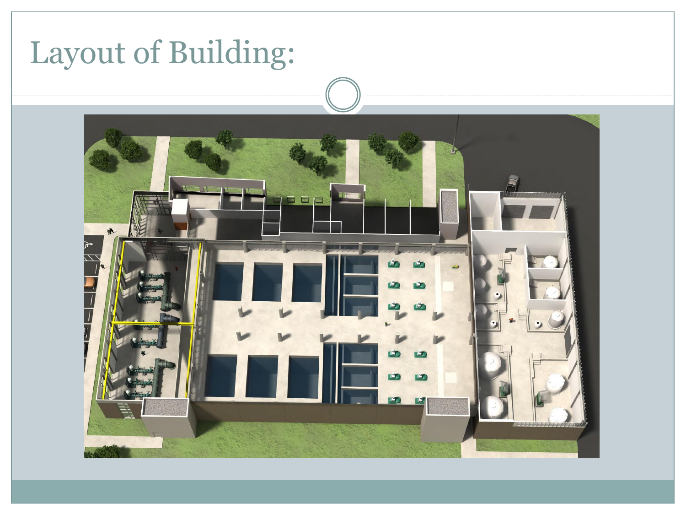## Layout of Building:

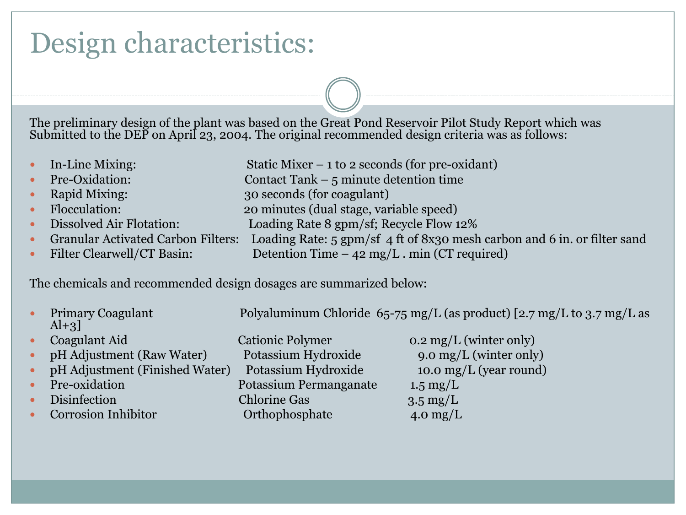## Design characteristics:

The preliminary design of the plant was based on the Great Pond Reservoir Pilot Study Report which was Submitted to the DEP on April 23, 2004. The original recommended design criteria was as follows:

- In-Line Mixing: Static Mixer 1 to 2 seconds (for pre-oxidant)
- Pre-Oxidation: Contact Tank 5 minute detention time
- Rapid Mixing: 30 seconds (for coagulant)
- Flocculation: 20 minutes (dual stage, variable speed)
- Dissolved Air Flotation: Loading Rate 8 gpm/sf; Recycle Flow 12%
- Granular Activated Carbon Filters: Loading Rate: 5 gpm/sf 4 ft of 8x30 mesh carbon and 6 in. or filter sand
- Filter Clearwell/CT Basin: Detention Time  $-42$  mg/L . min (CT required)

The chemicals and recommended design dosages are summarized below:

| $\bullet$ | Primary Coagulant<br>$Al+3$    |                         | Polyaluminum Chloride $65$ -75 mg/L (as product) [2.7 mg/L to 3.7 mg/L as |
|-----------|--------------------------------|-------------------------|---------------------------------------------------------------------------|
| $\bullet$ | Coagulant Aid                  | <b>Cationic Polymer</b> | $0.2 \text{ mg/L}$ (winter only)                                          |
|           | pH Adjustment (Raw Water)      | Potassium Hydroxide     | 9.0 mg/L (winter only)                                                    |
| $\bullet$ | pH Adjustment (Finished Water) | Potassium Hydroxide     | 10.0 mg/L (year round)                                                    |
| $\bullet$ | Pre-oxidation                  | Potassium Permanganate  | $1.5 \text{ mg/L}$                                                        |
| $\bullet$ | Disinfection                   | <b>Chlorine Gas</b>     | $3.5 \text{ mg/L}$                                                        |
|           | Corrosion Inhibitor            | Orthophosphate          | 4.0 mg/L                                                                  |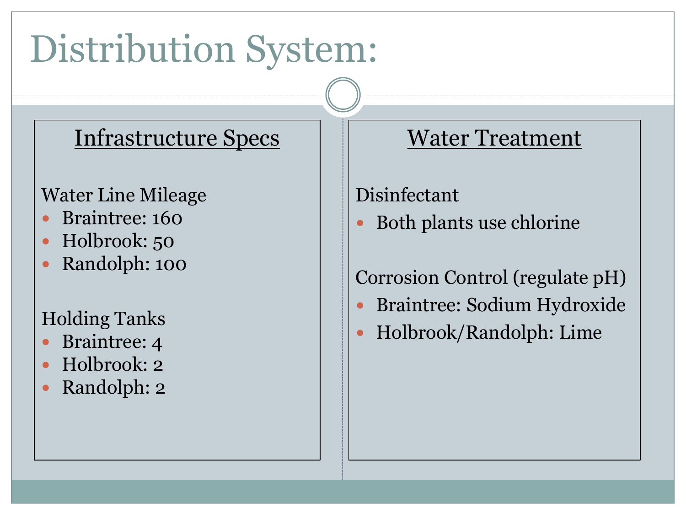# Distribution System:

### Infrastructure Specs

### Water Line Mileage

- Braintree: 160
- Holbrook: 50
- Randolph: 100

### Holding Tanks

- Braintree: 4
- Holbrook: 2
- Randolph: 2

### Water Treatment

### Disinfectant

Both plants use chlorine

### Corrosion Control (regulate pH)

- Braintree: Sodium Hydroxide
- Holbrook/Randolph: Lime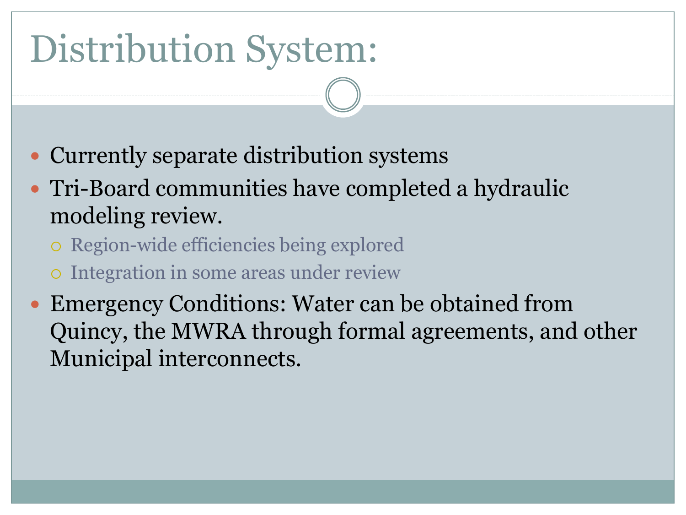# Distribution System:

- Currently separate distribution systems
- Tri-Board communities have completed a hydraulic modeling review.
	- Region-wide efficiencies being explored
	- Integration in some areas under review
- Emergency Conditions: Water can be obtained from Quincy, the MWRA through formal agreements, and other Municipal interconnects.